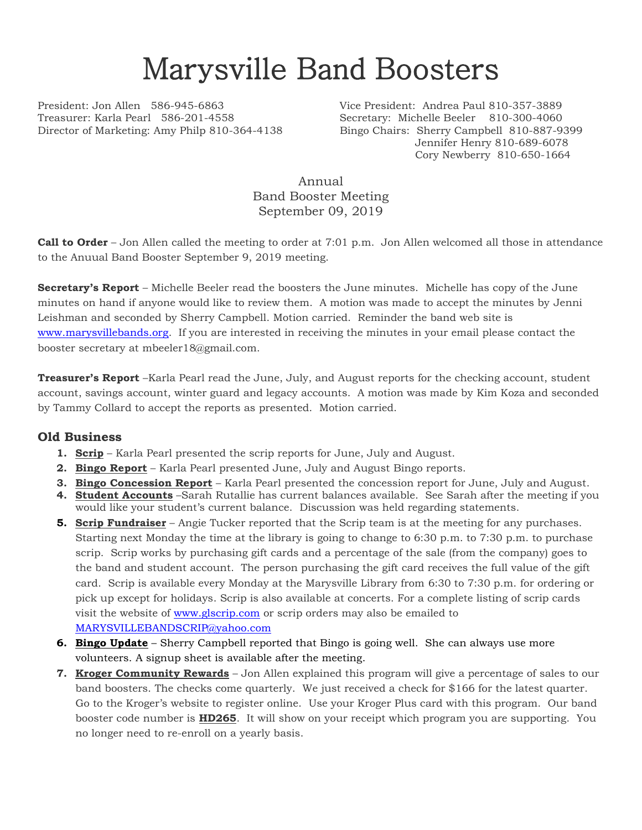## Marysville Band Boosters

President: Jon Allen 586-945-6863 Vice President: Andrea Paul 810-357-3889 Treasurer: Karla Pearl 586-201-4558 Secretary: Michelle Beeler 810-300-4060 Director of Marketing: Amy Philp 810-364-4138 Bingo Chairs: Sherry Campbell 810-887-9399

Jennifer Henry 810-689-6078 Cory Newberry 810-650-1664

Annual Band Booster Meeting September 09, 2019

**Call to Order** – Jon Allen called the meeting to order at 7:01 p.m. Jon Allen welcomed all those in attendance to the Anuual Band Booster September 9, 2019 meeting.

**Secretary's Report** – Michelle Beeler read the boosters the June minutes. Michelle has copy of the June minutes on hand if anyone would like to review them. A motion was made to accept the minutes by Jenni Leishman and seconded by Sherry Campbell. Motion carried. Reminder the band web site is [www.marysvillebands.org.](http://www.marysvillebands.org/) If you are interested in receiving the minutes in your email please contact the booster secretary at mbeeler18@gmail.com.

**Treasurer's Report** –Karla Pearl read the June, July, and August reports for the checking account, student account, savings account, winter guard and legacy accounts. A motion was made by Kim Koza and seconded by Tammy Collard to accept the reports as presented. Motion carried.

## **Old Business**

- **1. Scrip** Karla Pearl presented the scrip reports for June, July and August.
- **2. Bingo Report** Karla Pearl presented June, July and August Bingo reports.
- **3. Bingo Concession Report** Karla Pearl presented the concession report for June, July and August.
- **4. Student Accounts** –Sarah Rutallie has current balances available. See Sarah after the meeting if you would like your student's current balance. Discussion was held regarding statements.
- **5. Scrip Fundraiser** Angie Tucker reported that the Scrip team is at the meeting for any purchases. Starting next Monday the time at the library is going to change to 6:30 p.m. to 7:30 p.m. to purchase scrip. Scrip works by purchasing gift cards and a percentage of the sale (from the company) goes to the band and student account. The person purchasing the gift card receives the full value of the gift card. Scrip is available every Monday at the Marysville Library from 6:30 to 7:30 p.m. for ordering or pick up except for holidays. Scrip is also available at concerts. For a complete listing of scrip cards visit the website of [www.glscrip.com](http://www.glscrip.com/) or scrip orders may also be emailed to [MARYSVILLEBANDSCRIP@yahoo.com](mailto:MARYSVILLEBANDSCRIP@yahoo.com)
- **6. Bingo Update** Sherry Campbell reported that Bingo is going well. She can always use more volunteers. A signup sheet is available after the meeting.
- **7. Kroger Community Rewards** Jon Allen explained this program will give a percentage of sales to our band boosters. The checks come quarterly. We just received a check for \$166 for the latest quarter. Go to the Kroger's website to register online. Use your Kroger Plus card with this program. Our band booster code number is **HD265**. It will show on your receipt which program you are supporting. You no longer need to re-enroll on a yearly basis.